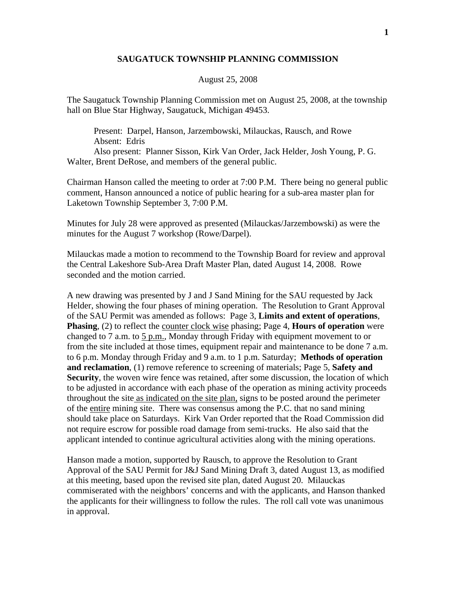## **SAUGATUCK TOWNSHIP PLANNING COMMISSION**

## August 25, 2008

The Saugatuck Township Planning Commission met on August 25, 2008, at the township hall on Blue Star Highway, Saugatuck, Michigan 49453.

 Present: Darpel, Hanson, Jarzembowski, Milauckas, Rausch, and Rowe Absent: Edris Also present: Planner Sisson, Kirk Van Order, Jack Helder, Josh Young, P. G. Walter, Brent DeRose, and members of the general public.

Chairman Hanson called the meeting to order at 7:00 P.M. There being no general public comment, Hanson announced a notice of public hearing for a sub-area master plan for Laketown Township September 3, 7:00 P.M.

Minutes for July 28 were approved as presented (Milauckas/Jarzembowski) as were the minutes for the August 7 workshop (Rowe/Darpel).

Milauckas made a motion to recommend to the Township Board for review and approval the Central Lakeshore Sub-Area Draft Master Plan, dated August 14, 2008. Rowe seconded and the motion carried.

A new drawing was presented by J and J Sand Mining for the SAU requested by Jack Helder, showing the four phases of mining operation. The Resolution to Grant Approval of the SAU Permit was amended as follows: Page 3, **Limits and extent of operations**, **Phasing**, (2) to reflect the counter clock wise phasing; Page 4, **Hours of operation** were changed to 7 a.m. to 5 p.m., Monday through Friday with equipment movement to or from the site included at those times, equipment repair and maintenance to be done 7 a.m. to 6 p.m. Monday through Friday and 9 a.m. to 1 p.m. Saturday; **Methods of operation and reclamation**, (1) remove reference to screening of materials; Page 5, **Safety and Security**, the woven wire fence was retained, after some discussion, the location of which to be adjusted in accordance with each phase of the operation as mining activity proceeds throughout the site as indicated on the site plan, signs to be posted around the perimeter of the entire mining site. There was consensus among the P.C. that no sand mining should take place on Saturdays. Kirk Van Order reported that the Road Commission did not require escrow for possible road damage from semi-trucks. He also said that the applicant intended to continue agricultural activities along with the mining operations.

Hanson made a motion, supported by Rausch, to approve the Resolution to Grant Approval of the SAU Permit for J&J Sand Mining Draft 3, dated August 13, as modified at this meeting, based upon the revised site plan, dated August 20. Milauckas commiserated with the neighbors' concerns and with the applicants, and Hanson thanked the applicants for their willingness to follow the rules. The roll call vote was unanimous in approval.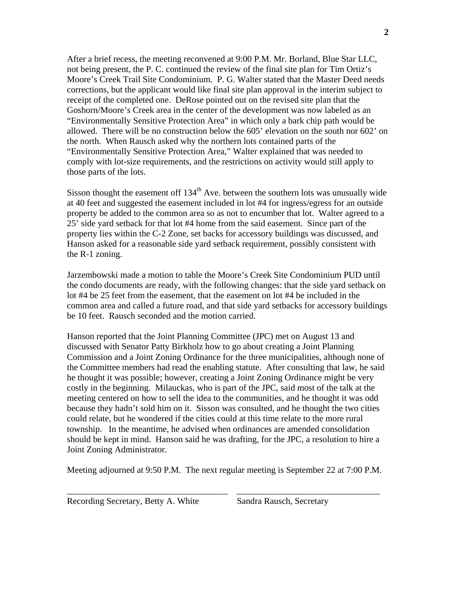After a brief recess, the meeting reconvened at 9:00 P.M. Mr. Borland, Blue Star LLC, not being present, the P. C. continued the review of the final site plan for Tim Ortiz's Moore's Creek Trail Site Condominium. P. G. Walter stated that the Master Deed needs corrections, but the applicant would like final site plan approval in the interim subject to receipt of the completed one. DeRose pointed out on the revised site plan that the Goshorn/Moore's Creek area in the center of the development was now labeled as an "Environmentally Sensitive Protection Area" in which only a bark chip path would be allowed. There will be no construction below the 605' elevation on the south nor 602' on the north. When Rausch asked why the northern lots contained parts of the "Environmentally Sensitive Protection Area," Walter explained that was needed to comply with lot-size requirements, and the restrictions on activity would still apply to those parts of the lots.

Sisson thought the easement off  $134<sup>th</sup>$  Ave. between the southern lots was unusually wide at 40 feet and suggested the easement included in lot #4 for ingress/egress for an outside property be added to the common area so as not to encumber that lot. Walter agreed to a 25' side yard setback for that lot #4 home from the said easement. Since part of the property lies within the C-2 Zone, set backs for accessory buildings was discussed, and Hanson asked for a reasonable side yard setback requirement, possibly consistent with the R-1 zoning.

Jarzembowski made a motion to table the Moore's Creek Site Condominium PUD until the condo documents are ready, with the following changes: that the side yard setback on lot #4 be 25 feet from the easement, that the easement on lot #4 be included in the common area and called a future road, and that side yard setbacks for accessory buildings be 10 feet. Rausch seconded and the motion carried.

Hanson reported that the Joint Planning Committee (JPC) met on August 13 and discussed with Senator Patty Birkholz how to go about creating a Joint Planning Commission and a Joint Zoning Ordinance for the three municipalities, although none of the Committee members had read the enabling statute. After consulting that law, he said he thought it was possible; however, creating a Joint Zoning Ordinance might be very costly in the beginning. Milauckas, who is part of the JPC, said most of the talk at the meeting centered on how to sell the idea to the communities, and he thought it was odd because they hadn't sold him on it. Sisson was consulted, and he thought the two cities could relate, but he wondered if the cities could at this time relate to the more rural township. In the meantime, he advised when ordinances are amended consolidation should be kept in mind. Hanson said he was drafting, for the JPC, a resolution to hire a Joint Zoning Administrator.

Meeting adjourned at 9:50 P.M. The next regular meeting is September 22 at 7:00 P.M.

\_\_\_\_\_\_\_\_\_\_\_\_\_\_\_\_\_\_\_\_\_\_\_\_\_\_\_\_\_\_\_\_\_\_\_\_ \_\_\_\_\_\_\_\_\_\_\_\_\_\_\_\_\_\_\_\_\_\_\_\_\_\_\_\_\_\_\_\_